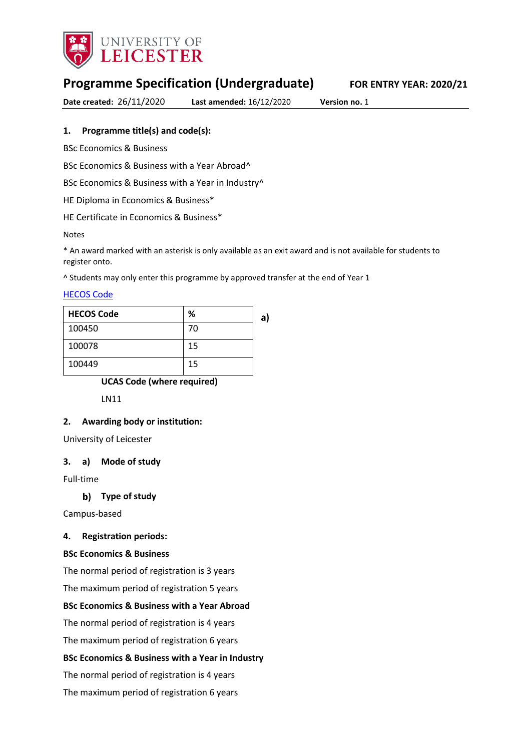

# **Programme Specification (Undergraduate) FOR ENTRY YEAR: 2020/21**

**Date created:** 26/11/2020 **Last amended:** 16/12/2020 **Version no.** 1

#### **1. Programme title(s) and code(s):**

BSc Economics & Business

BSc Economics & Business with a Year Abroad^

BSc Economics & Business with a Year in Industry<sup>^</sup>

HE Diploma in Economics & Business\*

HE Certificate in Economics & Business\*

#### Notes

\* An award marked with an asterisk is only available as an exit award and is not available for students to register onto.

^ Students may only enter this programme by approved transfer at the end of Year 1

#### [HECOS Code](https://www.hesa.ac.uk/innovation/hecos)

| <b>HECOS Code</b> | %  | a) |
|-------------------|----|----|
| 100450            | 70 |    |
| 100078            | 15 |    |
| 100449            | 15 |    |

#### **UCAS Code (where required)**

LN11

#### **2. Awarding body or institution:**

University of Leicester

#### **3. a) Mode of study**

Full-time

#### **Type of study**

Campus-based

#### **4. Registration periods:**

#### **BSc Economics & Business**

The normal period of registration is 3 years

The maximum period of registration 5 years

#### **BSc Economics & Business with a Year Abroad**

The normal period of registration is 4 years

The maximum period of registration 6 years

#### **BSc Economics & Business with a Year in Industry**

The normal period of registration is 4 years

The maximum period of registration 6 years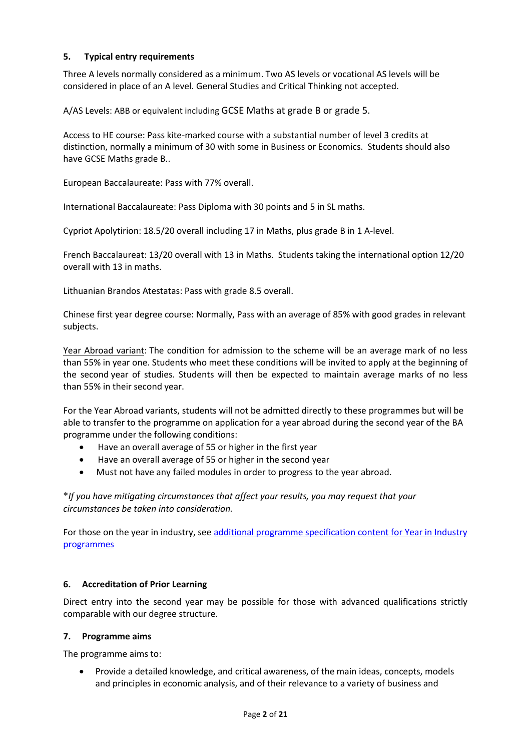### **5. Typical entry requirements**

Three A levels normally considered as a minimum. Two AS levels or vocational AS levels will be considered in place of an A level. General Studies and Critical Thinking not accepted.

A/AS Levels: ABB or equivalent including GCSE Maths at grade B or grade 5.

Access to HE course: Pass kite-marked course with a substantial number of level 3 credits at distinction, normally a minimum of 30 with some in Business or Economics. Students should also have GCSE Maths grade B..

European Baccalaureate: Pass with 77% overall.

International Baccalaureate: Pass Diploma with 30 points and 5 in SL maths.

Cypriot Apolytirion: 18.5/20 overall including 17 in Maths, plus grade B in 1 A-level.

French Baccalaureat: 13/20 overall with 13 in Maths. Students taking the international option 12/20 overall with 13 in maths.

Lithuanian Brandos Atestatas: Pass with grade 8.5 overall.

Chinese first year degree course: Normally, Pass with an average of 85% with good grades in relevant subjects.

Year Abroad variant: The condition for admission to the scheme will be an average mark of no less than 55% in year one. Students who meet these conditions will be invited to apply at the beginning of the second year of studies. Students will then be expected to maintain average marks of no less than 55% in their second year.

For the Year Abroad variants, students will not be admitted directly to these programmes but will be able to transfer to the programme on application for a year abroad during the second year of the BA programme under the following conditions:

- Have an overall average of 55 or higher in the first year
- Have an overall average of 55 or higher in the second year
- Must not have any failed modules in order to progress to the year abroad.

**\****If you have mitigating circumstances that affect your results, you may request that your circumstances be taken into consideration.*

For those on the year in industry, se[e additional programme specification content for Year in Industry](https://www2.le.ac.uk/offices/sas2/courses/documentation/undergraduate-programme-specification-content-for-year-in-industry-programme-variants)  [programmes](https://www2.le.ac.uk/offices/sas2/courses/documentation/undergraduate-programme-specification-content-for-year-in-industry-programme-variants)

#### **6. Accreditation of Prior Learning**

Direct entry into the second year may be possible for those with advanced qualifications strictly comparable with our degree structure.

#### **7. Programme aims**

The programme aims to:

 Provide a detailed knowledge, and critical awareness, of the main ideas, concepts, models and principles in economic analysis, and of their relevance to a variety of business and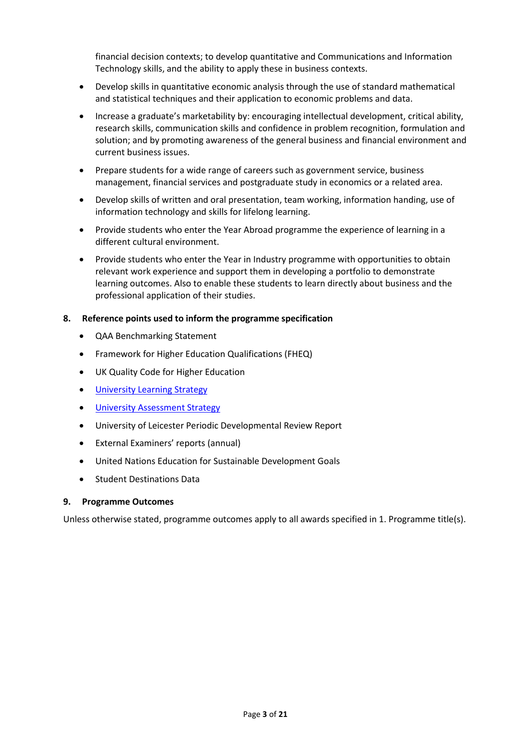financial decision contexts; to develop quantitative and Communications and Information Technology skills, and the ability to apply these in business contexts.

- Develop skills in quantitative economic analysis through the use of standard mathematical and statistical techniques and their application to economic problems and data.
- Increase a graduate's marketability by: encouraging intellectual development, critical ability, research skills, communication skills and confidence in problem recognition, formulation and solution; and by promoting awareness of the general business and financial environment and current business issues.
- Prepare students for a wide range of careers such as government service, business management, financial services and postgraduate study in economics or a related area.
- Develop skills of written and oral presentation, team working, information handing, use of information technology and skills for lifelong learning.
- Provide students who enter the Year Abroad programme the experience of learning in a different cultural environment.
- Provide students who enter the Year in Industry programme with opportunities to obtain relevant work experience and support them in developing a portfolio to demonstrate learning outcomes. Also to enable these students to learn directly about business and the professional application of their studies.

#### **8. Reference points used to inform the programme specification**

- QAA Benchmarking Statement
- Framework for Higher Education Qualifications (FHEQ)
- UK Quality Code for Higher Education
- **•** University Learnin[g Strategy](https://www2.le.ac.uk/offices/sas2/quality/learnteach)
- **•** [University Assessment Strategy](https://www2.le.ac.uk/offices/sas2/quality/learnteach)
- University of Leicester Periodic Developmental Review Report
- External Examiners' reports (annual)
- United Nations Education for Sustainable Development Goals
- **•** Student Destinations Data

#### **9. Programme Outcomes**

Unless otherwise stated, programme outcomes apply to all awards specified in 1. Programme title(s).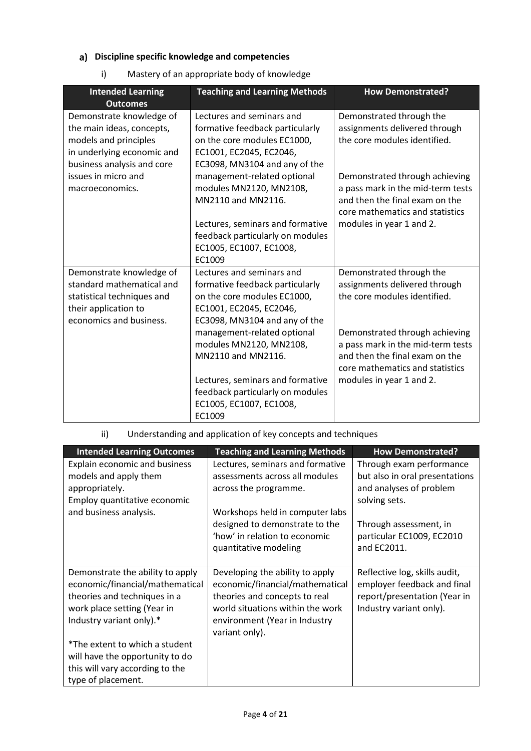## **Discipline specific knowledge and competencies**

i) Mastery of an appropriate body of knowledge

| <b>Intended Learning</b><br><b>Outcomes</b>                                                                                                | <b>Teaching and Learning Methods</b>                                                                                                                    | <b>How Demonstrated?</b>                                                                                                                 |
|--------------------------------------------------------------------------------------------------------------------------------------------|---------------------------------------------------------------------------------------------------------------------------------------------------------|------------------------------------------------------------------------------------------------------------------------------------------|
| Demonstrate knowledge of<br>the main ideas, concepts,<br>models and principles<br>in underlying economic and<br>business analysis and core | Lectures and seminars and<br>formative feedback particularly<br>on the core modules EC1000,<br>EC1001, EC2045, EC2046,<br>EC3098, MN3104 and any of the | Demonstrated through the<br>assignments delivered through<br>the core modules identified.                                                |
| issues in micro and<br>macroeconomics.                                                                                                     | management-related optional<br>modules MN2120, MN2108,<br>MN2110 and MN2116.                                                                            | Demonstrated through achieving<br>a pass mark in the mid-term tests<br>and then the final exam on the<br>core mathematics and statistics |
|                                                                                                                                            | Lectures, seminars and formative<br>feedback particularly on modules<br>EC1005, EC1007, EC1008,<br>EC1009                                               | modules in year 1 and 2.                                                                                                                 |
| Demonstrate knowledge of<br>standard mathematical and<br>statistical techniques and<br>their application to<br>economics and business.     | Lectures and seminars and<br>formative feedback particularly<br>on the core modules EC1000,<br>EC1001, EC2045, EC2046,<br>EC3098, MN3104 and any of the | Demonstrated through the<br>assignments delivered through<br>the core modules identified.                                                |
|                                                                                                                                            | management-related optional<br>modules MN2120, MN2108,<br>MN2110 and MN2116.                                                                            | Demonstrated through achieving<br>a pass mark in the mid-term tests<br>and then the final exam on the<br>core mathematics and statistics |
|                                                                                                                                            | Lectures, seminars and formative<br>feedback particularly on modules<br>EC1005, EC1007, EC1008,<br>EC1009                                               | modules in year 1 and 2.                                                                                                                 |

## ii) Understanding and application of key concepts and techniques

| <b>Intended Learning Outcomes</b>                                                                                                                              | <b>Teaching and Learning Methods</b>                                                                                                                                                       | <b>How Demonstrated?</b>                                                                                                |
|----------------------------------------------------------------------------------------------------------------------------------------------------------------|--------------------------------------------------------------------------------------------------------------------------------------------------------------------------------------------|-------------------------------------------------------------------------------------------------------------------------|
| Explain economic and business<br>models and apply them<br>appropriately.<br>Employ quantitative economic<br>and business analysis.                             | Lectures, seminars and formative<br>assessments across all modules<br>across the programme.<br>Workshops held in computer labs                                                             | Through exam performance<br>but also in oral presentations<br>and analyses of problem<br>solving sets.                  |
|                                                                                                                                                                | designed to demonstrate to the<br>'how' in relation to economic<br>quantitative modeling                                                                                                   | Through assessment, in<br>particular EC1009, EC2010<br>and EC2011.                                                      |
| Demonstrate the ability to apply<br>economic/financial/mathematical<br>theories and techniques in a<br>work place setting (Year in<br>Industry variant only).* | Developing the ability to apply<br>economic/financial/mathematical<br>theories and concepts to real<br>world situations within the work<br>environment (Year in Industry<br>variant only). | Reflective log, skills audit,<br>employer feedback and final<br>report/presentation (Year in<br>Industry variant only). |
| *The extent to which a student<br>will have the opportunity to do<br>this will vary according to the<br>type of placement.                                     |                                                                                                                                                                                            |                                                                                                                         |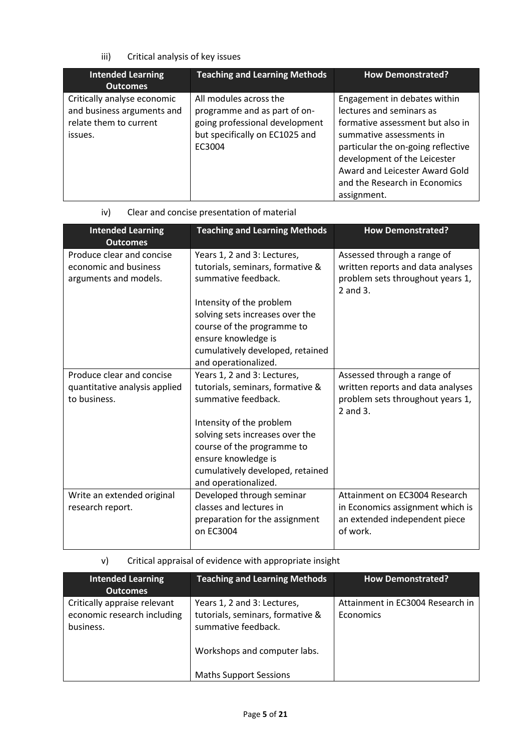## iii) Critical analysis of key issues

| <b>Intended Learning</b><br><b>Outcomes</b>                                                    | <b>Teaching and Learning Methods</b>                                                                                                 | <b>How Demonstrated?</b>                                                                                                                                                                                                                                                         |
|------------------------------------------------------------------------------------------------|--------------------------------------------------------------------------------------------------------------------------------------|----------------------------------------------------------------------------------------------------------------------------------------------------------------------------------------------------------------------------------------------------------------------------------|
| Critically analyse economic<br>and business arguments and<br>relate them to current<br>issues. | All modules across the<br>programme and as part of on-<br>going professional development<br>but specifically on EC1025 and<br>EC3004 | Engagement in debates within<br>lectures and seminars as<br>formative assessment but also in<br>summative assessments in<br>particular the on-going reflective<br>development of the Leicester<br>Award and Leicester Award Gold<br>and the Research in Economics<br>assignment. |

## iv) Clear and concise presentation of material

| <b>Intended Learning</b><br><b>Outcomes</b>                                 | <b>Teaching and Learning Methods</b>                                                   | <b>How Demonstrated?</b>                                                                                         |
|-----------------------------------------------------------------------------|----------------------------------------------------------------------------------------|------------------------------------------------------------------------------------------------------------------|
| Produce clear and concise<br>economic and business<br>arguments and models. | Years 1, 2 and 3: Lectures,<br>tutorials, seminars, formative &<br>summative feedback. | Assessed through a range of<br>written reports and data analyses<br>problem sets throughout years 1,<br>2 and 3. |
|                                                                             | Intensity of the problem                                                               |                                                                                                                  |
|                                                                             | solving sets increases over the<br>course of the programme to                          |                                                                                                                  |
|                                                                             | ensure knowledge is                                                                    |                                                                                                                  |
|                                                                             | cumulatively developed, retained<br>and operationalized.                               |                                                                                                                  |
| Produce clear and concise                                                   | Years 1, 2 and 3: Lectures,                                                            | Assessed through a range of                                                                                      |
| quantitative analysis applied                                               | tutorials, seminars, formative &                                                       | written reports and data analyses                                                                                |
| to business.                                                                | summative feedback.                                                                    | problem sets throughout years 1,<br>2 and 3.                                                                     |
|                                                                             | Intensity of the problem                                                               |                                                                                                                  |
|                                                                             | solving sets increases over the                                                        |                                                                                                                  |
|                                                                             | course of the programme to                                                             |                                                                                                                  |
|                                                                             | ensure knowledge is                                                                    |                                                                                                                  |
|                                                                             | cumulatively developed, retained<br>and operationalized.                               |                                                                                                                  |
| Write an extended original                                                  | Developed through seminar                                                              | Attainment on EC3004 Research                                                                                    |
| research report.                                                            | classes and lectures in                                                                | in Economics assignment which is                                                                                 |
|                                                                             | preparation for the assignment<br>on EC3004                                            | an extended independent piece<br>of work.                                                                        |

v) Critical appraisal of evidence with appropriate insight

| <b>Intended Learning</b>     | <b>Teaching and Learning Methods</b> | <b>How Demonstrated?</b>         |
|------------------------------|--------------------------------------|----------------------------------|
| <b>Outcomes</b>              |                                      |                                  |
| Critically appraise relevant | Years 1, 2 and 3: Lectures,          | Attainment in EC3004 Research in |
| economic research including  | tutorials, seminars, formative &     | Economics                        |
| business.                    | summative feedback.                  |                                  |
|                              | Workshops and computer labs.         |                                  |
|                              | <b>Maths Support Sessions</b>        |                                  |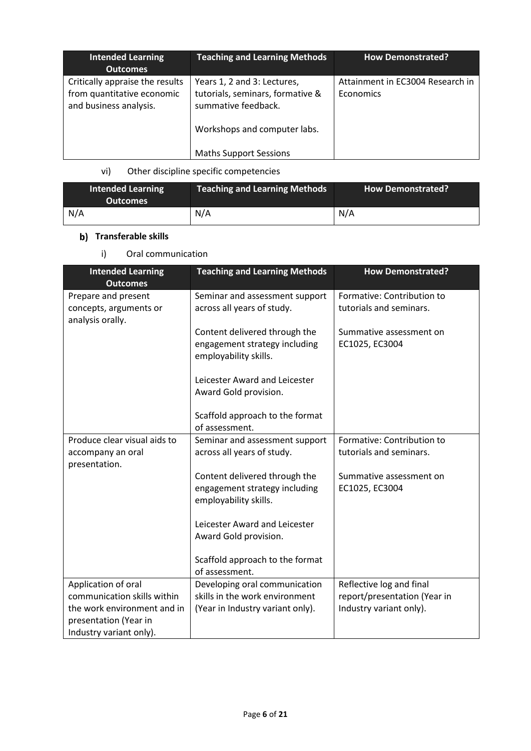| <b>Intended Learning</b><br><b>Outcomes</b>                                             | <b>Teaching and Learning Methods</b>                                                                                   | <b>How Demonstrated?</b>                      |
|-----------------------------------------------------------------------------------------|------------------------------------------------------------------------------------------------------------------------|-----------------------------------------------|
| Critically appraise the results<br>from quantitative economic<br>and business analysis. | Years 1, 2 and 3: Lectures,<br>tutorials, seminars, formative &<br>summative feedback.<br>Workshops and computer labs. | Attainment in EC3004 Research in<br>Economics |
|                                                                                         | <b>Maths Support Sessions</b>                                                                                          |                                               |

# vi) Other discipline specific competencies

| <b>Intended Learning</b><br><b>Outcomes</b> | <b>Teaching and Learning Methods</b> | <b>How Demonstrated?</b> |
|---------------------------------------------|--------------------------------------|--------------------------|
| N/A                                         | N/A                                  | N/A                      |

# **b)** Transferable skills

i) Oral communication

| <b>Intended Learning</b><br><b>Outcomes</b>                                     | <b>Teaching and Learning Methods</b>                                                    | <b>How Demonstrated?</b>                              |
|---------------------------------------------------------------------------------|-----------------------------------------------------------------------------------------|-------------------------------------------------------|
| Prepare and present<br>concepts, arguments or<br>analysis orally.               | Seminar and assessment support<br>across all years of study.                            | Formative: Contribution to<br>tutorials and seminars. |
|                                                                                 | Content delivered through the<br>engagement strategy including<br>employability skills. | Summative assessment on<br>EC1025, EC3004             |
|                                                                                 | Leicester Award and Leicester<br>Award Gold provision.                                  |                                                       |
|                                                                                 | Scaffold approach to the format<br>of assessment.                                       |                                                       |
| Produce clear visual aids to<br>accompany an oral<br>presentation.              | Seminar and assessment support<br>across all years of study.                            | Formative: Contribution to<br>tutorials and seminars. |
|                                                                                 | Content delivered through the<br>engagement strategy including<br>employability skills. | Summative assessment on<br>EC1025, EC3004             |
|                                                                                 | Leicester Award and Leicester<br>Award Gold provision.                                  |                                                       |
|                                                                                 | Scaffold approach to the format<br>of assessment.                                       |                                                       |
| Application of oral                                                             | Developing oral communication                                                           | Reflective log and final                              |
| communication skills within                                                     | skills in the work environment                                                          | report/presentation (Year in                          |
| the work environment and in<br>presentation (Year in<br>Industry variant only). | (Year in Industry variant only).                                                        | Industry variant only).                               |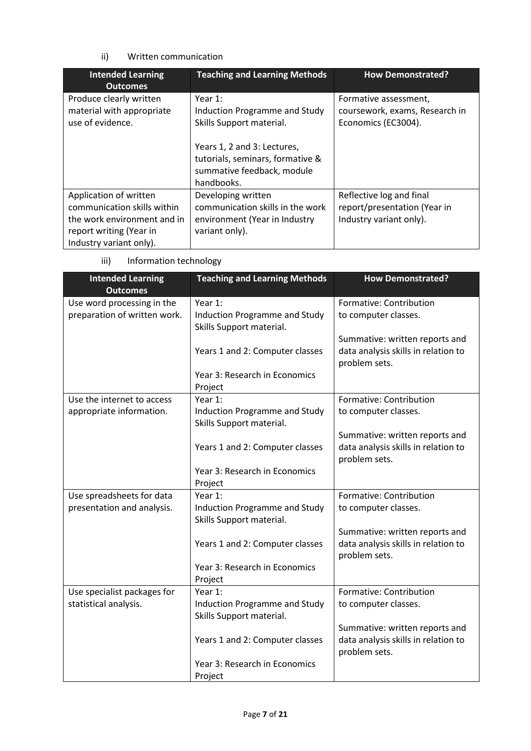## ii) Written communication

| <b>Intended Learning</b><br><b>Outcomes</b>                                                                                                | <b>Teaching and Learning Methods</b>                                                                                                                                                   | <b>How Demonstrated?</b>                                                            |
|--------------------------------------------------------------------------------------------------------------------------------------------|----------------------------------------------------------------------------------------------------------------------------------------------------------------------------------------|-------------------------------------------------------------------------------------|
| Produce clearly written<br>material with appropriate<br>use of evidence.                                                                   | Year $1$ :<br>Induction Programme and Study<br>Skills Support material.<br>Years 1, 2 and 3: Lectures,<br>tutorials, seminars, formative &<br>summative feedback, module<br>handbooks. | Formative assessment,<br>coursework, exams, Research in<br>Economics (EC3004).      |
| Application of written<br>communication skills within<br>the work environment and in<br>report writing (Year in<br>Industry variant only). | Developing written<br>communication skills in the work<br>environment (Year in Industry<br>variant only).                                                                              | Reflective log and final<br>report/presentation (Year in<br>Industry variant only). |

iii) Information technology

| <b>Intended Learning</b><br><b>Outcomes</b> | <b>Teaching and Learning Methods</b> | <b>How Demonstrated?</b>            |
|---------------------------------------------|--------------------------------------|-------------------------------------|
| Use word processing in the                  | Year 1:                              | Formative: Contribution             |
| preparation of written work.                | Induction Programme and Study        | to computer classes.                |
|                                             | Skills Support material.             |                                     |
|                                             |                                      | Summative: written reports and      |
|                                             | Years 1 and 2: Computer classes      | data analysis skills in relation to |
|                                             |                                      | problem sets.                       |
|                                             | Year 3: Research in Economics        |                                     |
|                                             | Project                              |                                     |
| Use the internet to access                  | Year 1:                              | Formative: Contribution             |
| appropriate information.                    | Induction Programme and Study        | to computer classes.                |
|                                             | Skills Support material.             |                                     |
|                                             |                                      | Summative: written reports and      |
|                                             | Years 1 and 2: Computer classes      | data analysis skills in relation to |
|                                             |                                      | problem sets.                       |
|                                             | Year 3: Research in Economics        |                                     |
|                                             | Project                              |                                     |
| Use spreadsheets for data                   | Year 1:                              | Formative: Contribution             |
| presentation and analysis.                  | <b>Induction Programme and Study</b> | to computer classes.                |
|                                             | Skills Support material.             |                                     |
|                                             |                                      | Summative: written reports and      |
|                                             | Years 1 and 2: Computer classes      | data analysis skills in relation to |
|                                             |                                      | problem sets.                       |
|                                             | Year 3: Research in Economics        |                                     |
|                                             | Project                              |                                     |
| Use specialist packages for                 | Year 1:                              | Formative: Contribution             |
| statistical analysis.                       | Induction Programme and Study        | to computer classes.                |
|                                             | Skills Support material.             | Summative: written reports and      |
|                                             | Years 1 and 2: Computer classes      | data analysis skills in relation to |
|                                             |                                      | problem sets.                       |
|                                             | Year 3: Research in Economics        |                                     |
|                                             | Project                              |                                     |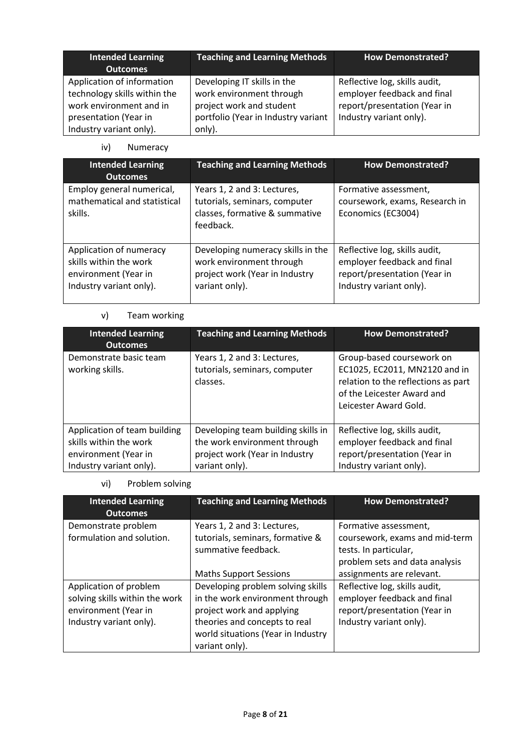| <b>Intended Learning</b><br><b>Outcomes</b>                                                                                               | <b>Teaching and Learning Methods</b>                                                                                                 | <b>How Demonstrated?</b>                                                                                                |
|-------------------------------------------------------------------------------------------------------------------------------------------|--------------------------------------------------------------------------------------------------------------------------------------|-------------------------------------------------------------------------------------------------------------------------|
| Application of information<br>technology skills within the<br>work environment and in<br>presentation (Year in<br>Industry variant only). | Developing IT skills in the<br>work environment through<br>project work and student<br>portfolio (Year in Industry variant<br>only). | Reflective log, skills audit,<br>employer feedback and final<br>report/presentation (Year in<br>Industry variant only). |

iv) Numeracy

| <b>Intended Learning</b><br><b>Outcomes</b>                                                          | <b>Teaching and Learning Methods</b>                                                                              | <b>How Demonstrated?</b>                                                                                                |
|------------------------------------------------------------------------------------------------------|-------------------------------------------------------------------------------------------------------------------|-------------------------------------------------------------------------------------------------------------------------|
| Employ general numerical,<br>mathematical and statistical<br>skills.                                 | Years 1, 2 and 3: Lectures,<br>tutorials, seminars, computer<br>classes, formative & summative<br>feedback.       | Formative assessment,<br>coursework, exams, Research in<br>Economics (EC3004)                                           |
| Application of numeracy<br>skills within the work<br>environment (Year in<br>Industry variant only). | Developing numeracy skills in the<br>work environment through<br>project work (Year in Industry<br>variant only). | Reflective log, skills audit,<br>employer feedback and final<br>report/presentation (Year in<br>Industry variant only). |

## v) Team working

| <b>Intended Learning</b><br><b>Outcomes</b> | <b>Teaching and Learning Methods</b>                                     | <b>How Demonstrated?</b>                                                                                                                                 |
|---------------------------------------------|--------------------------------------------------------------------------|----------------------------------------------------------------------------------------------------------------------------------------------------------|
| Demonstrate basic team<br>working skills.   | Years 1, 2 and 3: Lectures,<br>tutorials, seminars, computer<br>classes. | Group-based coursework on<br>EC1025, EC2011, MN2120 and in<br>relation to the reflections as part<br>of the Leicester Award and<br>Leicester Award Gold. |
| Application of team building                | Developing team building skills in                                       | Reflective log, skills audit,                                                                                                                            |
| skills within the work                      | the work environment through                                             | employer feedback and final                                                                                                                              |
| environment (Year in                        | project work (Year in Industry                                           | report/presentation (Year in                                                                                                                             |
| Industry variant only).                     | variant only).                                                           | Industry variant only).                                                                                                                                  |

vi) Problem solving

| <b>Intended Learning</b><br><b>Outcomes</b>                                                                 | <b>Teaching and Learning Methods</b>                                                                                                                                                       | <b>How Demonstrated?</b>                                                                                                                        |
|-------------------------------------------------------------------------------------------------------------|--------------------------------------------------------------------------------------------------------------------------------------------------------------------------------------------|-------------------------------------------------------------------------------------------------------------------------------------------------|
| Demonstrate problem<br>formulation and solution.                                                            | Years 1, 2 and 3: Lectures,<br>tutorials, seminars, formative &<br>summative feedback.<br><b>Maths Support Sessions</b>                                                                    | Formative assessment,<br>coursework, exams and mid-term<br>tests. In particular,<br>problem sets and data analysis<br>assignments are relevant. |
| Application of problem<br>solving skills within the work<br>environment (Year in<br>Industry variant only). | Developing problem solving skills<br>in the work environment through<br>project work and applying<br>theories and concepts to real<br>world situations (Year in Industry<br>variant only). | Reflective log, skills audit,<br>employer feedback and final<br>report/presentation (Year in<br>Industry variant only).                         |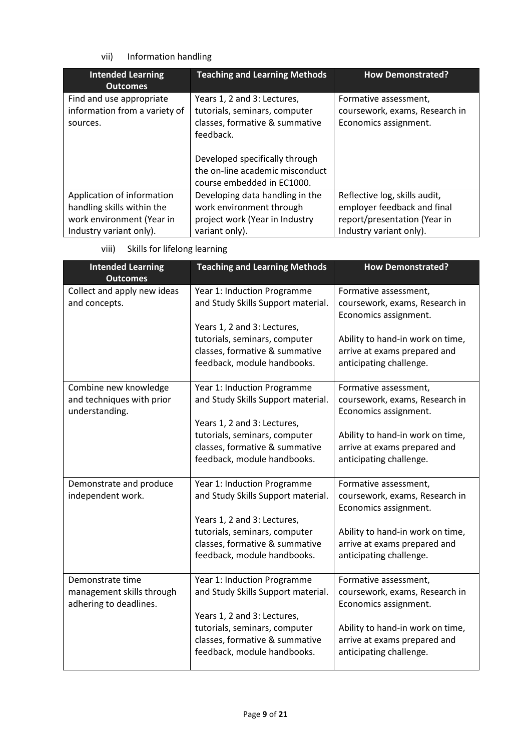## vii) Information handling

| <b>Intended Learning</b><br>Outcomes                                                                             | <b>Teaching and Learning Methods</b>                                                                                                          | <b>How Demonstrated?</b>                                                                                                |
|------------------------------------------------------------------------------------------------------------------|-----------------------------------------------------------------------------------------------------------------------------------------------|-------------------------------------------------------------------------------------------------------------------------|
| Find and use appropriate<br>information from a variety of<br>sources.                                            | Years 1, 2 and 3: Lectures,<br>tutorials, seminars, computer<br>classes, formative & summative<br>feedback.<br>Developed specifically through | Formative assessment,<br>coursework, exams, Research in<br>Economics assignment.                                        |
|                                                                                                                  | the on-line academic misconduct<br>course embedded in EC1000.                                                                                 |                                                                                                                         |
| Application of information<br>handling skills within the<br>work environment (Year in<br>Industry variant only). | Developing data handling in the<br>work environment through<br>project work (Year in Industry<br>variant only).                               | Reflective log, skills audit,<br>employer feedback and final<br>report/presentation (Year in<br>Industry variant only). |

viii) Skills for lifelong learning

| <b>Intended Learning</b><br><b>Outcomes</b>                             | <b>Teaching and Learning Methods</b>                                                             | <b>How Demonstrated?</b>                                                                    |
|-------------------------------------------------------------------------|--------------------------------------------------------------------------------------------------|---------------------------------------------------------------------------------------------|
| Collect and apply new ideas<br>and concepts.                            | Year 1: Induction Programme<br>and Study Skills Support material.<br>Years 1, 2 and 3: Lectures, | Formative assessment,<br>coursework, exams, Research in<br>Economics assignment.            |
|                                                                         | tutorials, seminars, computer<br>classes, formative & summative<br>feedback, module handbooks.   | Ability to hand-in work on time,<br>arrive at exams prepared and<br>anticipating challenge. |
| Combine new knowledge<br>and techniques with prior<br>understanding.    | Year 1: Induction Programme<br>and Study Skills Support material.<br>Years 1, 2 and 3: Lectures, | Formative assessment,<br>coursework, exams, Research in<br>Economics assignment.            |
|                                                                         | tutorials, seminars, computer<br>classes, formative & summative<br>feedback, module handbooks.   | Ability to hand-in work on time,<br>arrive at exams prepared and<br>anticipating challenge. |
| Demonstrate and produce<br>independent work.                            | Year 1: Induction Programme<br>and Study Skills Support material.<br>Years 1, 2 and 3: Lectures, | Formative assessment,<br>coursework, exams, Research in<br>Economics assignment.            |
|                                                                         | tutorials, seminars, computer<br>classes, formative & summative<br>feedback, module handbooks.   | Ability to hand-in work on time,<br>arrive at exams prepared and<br>anticipating challenge. |
| Demonstrate time<br>management skills through<br>adhering to deadlines. | Year 1: Induction Programme<br>and Study Skills Support material.<br>Years 1, 2 and 3: Lectures, | Formative assessment,<br>coursework, exams, Research in<br>Economics assignment.            |
|                                                                         | tutorials, seminars, computer<br>classes, formative & summative<br>feedback, module handbooks.   | Ability to hand-in work on time,<br>arrive at exams prepared and<br>anticipating challenge. |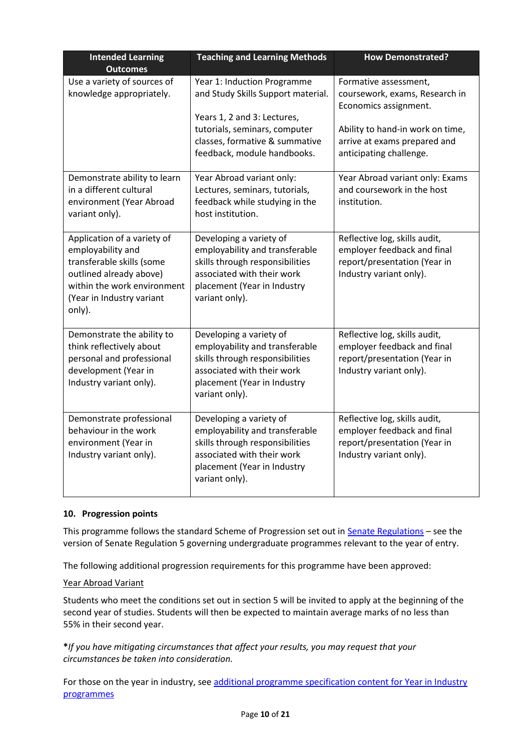| <b>Intended Learning</b><br><b>Outcomes</b>                                                                                                                                    | <b>Teaching and Learning Methods</b>                                                                                                                                                               | <b>How Demonstrated?</b>                                                                                                                                                        |
|--------------------------------------------------------------------------------------------------------------------------------------------------------------------------------|----------------------------------------------------------------------------------------------------------------------------------------------------------------------------------------------------|---------------------------------------------------------------------------------------------------------------------------------------------------------------------------------|
| Use a variety of sources of<br>knowledge appropriately.                                                                                                                        | Year 1: Induction Programme<br>and Study Skills Support material.<br>Years 1, 2 and 3: Lectures,<br>tutorials, seminars, computer<br>classes, formative & summative<br>feedback, module handbooks. | Formative assessment,<br>coursework, exams, Research in<br>Economics assignment.<br>Ability to hand-in work on time,<br>arrive at exams prepared and<br>anticipating challenge. |
| Demonstrate ability to learn<br>in a different cultural<br>environment (Year Abroad<br>variant only).                                                                          | Year Abroad variant only:<br>Lectures, seminars, tutorials,<br>feedback while studying in the<br>host institution.                                                                                 | Year Abroad variant only: Exams<br>and coursework in the host<br>institution.                                                                                                   |
| Application of a variety of<br>employability and<br>transferable skills (some<br>outlined already above)<br>within the work environment<br>(Year in Industry variant<br>only). | Developing a variety of<br>employability and transferable<br>skills through responsibilities<br>associated with their work<br>placement (Year in Industry<br>variant only).                        | Reflective log, skills audit,<br>employer feedback and final<br>report/presentation (Year in<br>Industry variant only).                                                         |
| Demonstrate the ability to<br>think reflectively about<br>personal and professional<br>development (Year in<br>Industry variant only).                                         | Developing a variety of<br>employability and transferable<br>skills through responsibilities<br>associated with their work<br>placement (Year in Industry<br>variant only).                        | Reflective log, skills audit,<br>employer feedback and final<br>report/presentation (Year in<br>Industry variant only).                                                         |
| Demonstrate professional<br>behaviour in the work<br>environment (Year in<br>Industry variant only).                                                                           | Developing a variety of<br>employability and transferable<br>skills through responsibilities<br>associated with their work<br>placement (Year in Industry<br>variant only).                        | Reflective log, skills audit,<br>employer feedback and final<br>report/presentation (Year in<br>Industry variant only).                                                         |

### **10. Progression points**

This programme follows the standard Scheme of Progression set out in **Senate Regulations** - see the version of Senate Regulation 5 governing undergraduate programmes relevant to the year of entry.

The following additional progression requirements for this programme have been approved:

#### Year Abroad Variant

Students who meet the conditions set out in section 5 will be invited to apply at the beginning of the second year of studies. Students will then be expected to maintain average marks of no less than 55% in their second year.

**\****If you have mitigating circumstances that affect your results, you may request that your circumstances be taken into consideration.*

For those on the year in industry, see additional programme specification content for Year in Industry [programmes](https://www2.le.ac.uk/offices/sas2/courses/documentation/undergraduate-programme-specification-content-for-year-in-industry-programme-variants)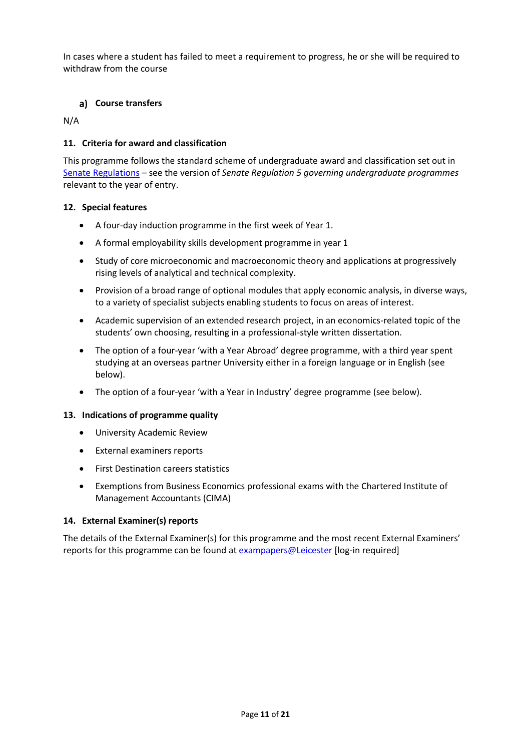In cases where a student has failed to meet a requirement to progress, he or she will be required to withdraw from the course

### **Course transfers**

N/A

### **11. Criteria for award and classification**

This programme follows the standard scheme of undergraduate award and classification set out in [Senate Regulations](http://www.le.ac.uk/senate-regulations) – see the version of *Senate Regulation 5 governing undergraduate programmes* relevant to the year of entry.

#### **12. Special features**

- A four-day induction programme in the first week of Year 1.
- A formal employability skills development programme in year 1
- Study of core microeconomic and macroeconomic theory and applications at progressively rising levels of analytical and technical complexity.
- Provision of a broad range of optional modules that apply economic analysis, in diverse ways, to a variety of specialist subjects enabling students to focus on areas of interest.
- Academic supervision of an extended research project, in an economics-related topic of the students' own choosing, resulting in a professional-style written dissertation.
- The option of a four-year 'with a Year Abroad' degree programme, with a third year spent studying at an overseas partner University either in a foreign language or in English (see below).
- The option of a four-year 'with a Year in Industry' degree programme (see below).

#### **13. Indications of programme quality**

- University Academic Review
- External examiners reports
- First Destination careers statistics
- Exemptions from Business Economics professional exams with the Chartered Institute of Management Accountants (CIMA)

#### **14. External Examiner(s) reports**

The details of the External Examiner(s) for this programme and the most recent External Examiners' reports for this programme can be found at **[exampapers@Leicester](https://exampapers.le.ac.uk/)** [log-in required]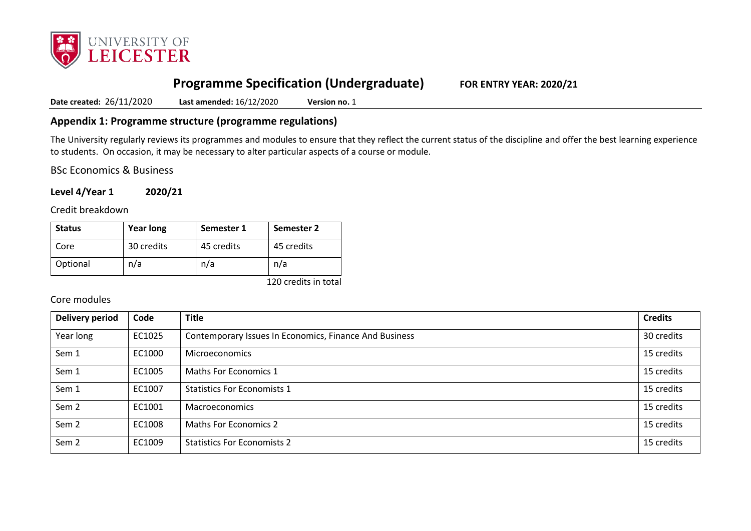

# **Programme Specification (Undergraduate) FOR ENTRY YEAR: 2020/21**

**Date created:** 26/11/2020 **Last amended:** 16/12/2020 **Version no.** 1

## **Appendix 1: Programme structure (programme regulations)**

The University regularly reviews its programmes and modules to ensure that they reflect the current status of the discipline and offer the best learning experience to students. On occasion, it may be necessary to alter particular aspects of a course or module.

BSc Economics & Business

**Level 4/Year 1 2020/21**

Credit breakdown

| <b>Status</b> | <b>Year long</b> | Semester 1 | Semester 2 |
|---------------|------------------|------------|------------|
| Core          | 30 credits       | 45 credits | 45 credits |
| Optional      | n/a              | n/a        | n/a        |

120 credits in total

#### Core modules

| <b>Delivery period</b> | Code   | <b>Title</b>                                           | <b>Credits</b> |
|------------------------|--------|--------------------------------------------------------|----------------|
| Year long              | EC1025 | Contemporary Issues In Economics, Finance And Business | 30 credits     |
| Sem 1                  | EC1000 | <b>Microeconomics</b>                                  | 15 credits     |
| Sem 1                  | EC1005 | Maths For Economics 1                                  | 15 credits     |
| Sem 1                  | EC1007 | <b>Statistics For Economists 1</b>                     | 15 credits     |
| Sem <sub>2</sub>       | EC1001 | Macroeconomics                                         | 15 credits     |
| Sem <sub>2</sub>       | EC1008 | <b>Maths For Economics 2</b>                           | 15 credits     |
| Sem <sub>2</sub>       | EC1009 | <b>Statistics For Economists 2</b>                     | 15 credits     |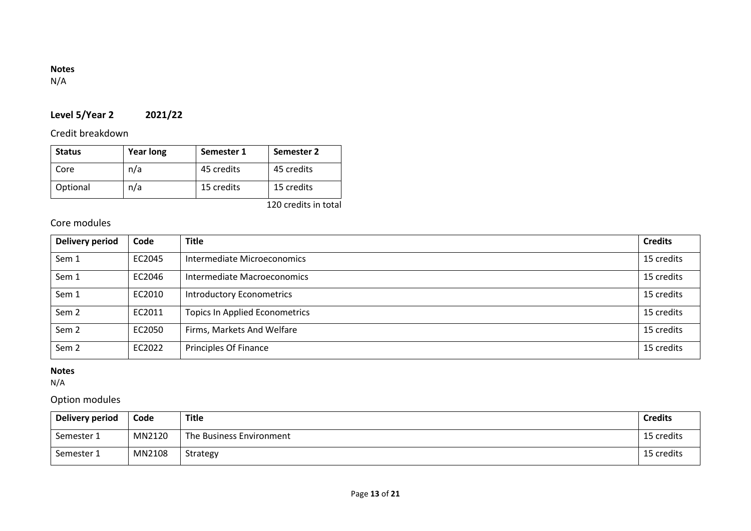## **Notes**

N/A

# **Level 5/Year 2 2021/22**

Credit breakdown

| <b>Status</b> | <b>Year long</b> | Semester 1 | Semester 2 |
|---------------|------------------|------------|------------|
| Core          | n/a              | 45 credits | 45 credits |
| Optional      | n/a              | 15 credits | 15 credits |

120 credits in total

# Core modules

| <b>Delivery period</b> | Code   | <b>Title</b>                          | <b>Credits</b> |
|------------------------|--------|---------------------------------------|----------------|
| Sem 1                  | EC2045 | Intermediate Microeconomics           | 15 credits     |
| Sem 1                  | EC2046 | Intermediate Macroeconomics           | 15 credits     |
| Sem 1                  | EC2010 | <b>Introductory Econometrics</b>      | 15 credits     |
| Sem <sub>2</sub>       | EC2011 | <b>Topics In Applied Econometrics</b> | 15 credits     |
| Sem <sub>2</sub>       | EC2050 | Firms, Markets And Welfare            | 15 credits     |
| Sem <sub>2</sub>       | EC2022 | Principles Of Finance                 | 15 credits     |

### **Notes**

N/A

# Option modules

| Delivery period | Code   | Title                    | <b>Credits</b> |
|-----------------|--------|--------------------------|----------------|
| Semester 1      | MN2120 | The Business Environment | 15 credits     |
| Semester 1      | MN2108 | Strategy                 | 15 credits     |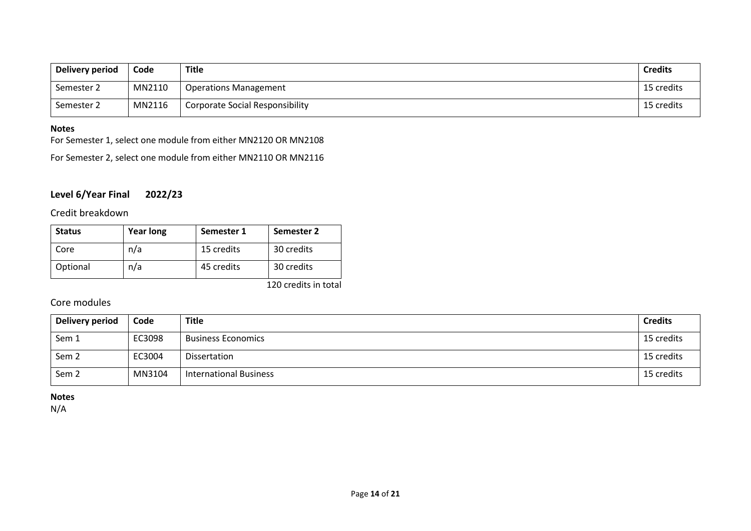| Delivery period | Code   | Title                                  | <b>Credits</b> |
|-----------------|--------|----------------------------------------|----------------|
| Semester 2      | MN2110 | <b>Operations Management</b>           | 15 credits     |
| Semester 2      | MN2116 | <b>Corporate Social Responsibility</b> | 15 credits     |

#### **Notes**

For Semester 1, select one module from either MN2120 OR MN2108

For Semester 2, select one module from either MN2110 OR MN2116

## **Level 6/Year Final 2022/23**

## Credit breakdown

| <b>Status</b> | <b>Year long</b> | Semester 1 | Semester 2            |
|---------------|------------------|------------|-----------------------|
| Core          | n/a              | 15 credits | 30 credits            |
| Optional      | n/a              | 45 credits | 30 credits            |
|               |                  |            | $1.20 \times 10^{-1}$ |

120 credits in total

## Core modules

| <b>Delivery period</b> | Code   | <b>Title</b>                  | <b>Credits</b> |
|------------------------|--------|-------------------------------|----------------|
| Sem 1                  | EC3098 | <b>Business Economics</b>     | 15 credits     |
| Sem <sub>2</sub>       | EC3004 | <b>Dissertation</b>           | 15 credits     |
| Sem <sub>2</sub>       | MN3104 | <b>International Business</b> | 15 credits     |

**Notes**

N/A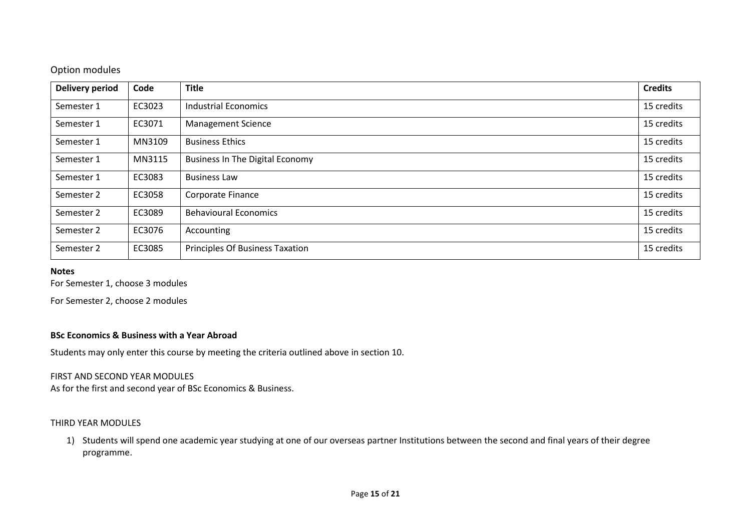## Option modules

| <b>Delivery period</b> | Code   | <b>Title</b>                           | <b>Credits</b> |
|------------------------|--------|----------------------------------------|----------------|
| Semester 1             | EC3023 | <b>Industrial Economics</b>            | 15 credits     |
| Semester 1             | EC3071 | <b>Management Science</b>              | 15 credits     |
| Semester 1             | MN3109 | <b>Business Ethics</b>                 | 15 credits     |
| Semester 1             | MN3115 | <b>Business In The Digital Economy</b> | 15 credits     |
| Semester 1             | EC3083 | <b>Business Law</b>                    | 15 credits     |
| Semester 2             | EC3058 | Corporate Finance                      | 15 credits     |
| Semester 2             | EC3089 | <b>Behavioural Economics</b>           | 15 credits     |
| Semester 2             | EC3076 | Accounting                             | 15 credits     |
| Semester 2             | EC3085 | <b>Principles Of Business Taxation</b> | 15 credits     |

#### **Notes**

For Semester 1, choose 3 modules

For Semester 2, choose 2 modules

#### **BSc Economics & Business with a Year Abroad**

Students may only enter this course by meeting the criteria outlined above in section 10.

#### FIRST AND SECOND YEAR MODULES

As for the first and second year of BSc Economics & Business.

#### THIRD YEAR MODULES

1) Students will spend one academic year studying at one of our overseas partner Institutions between the second and final years of their degree programme.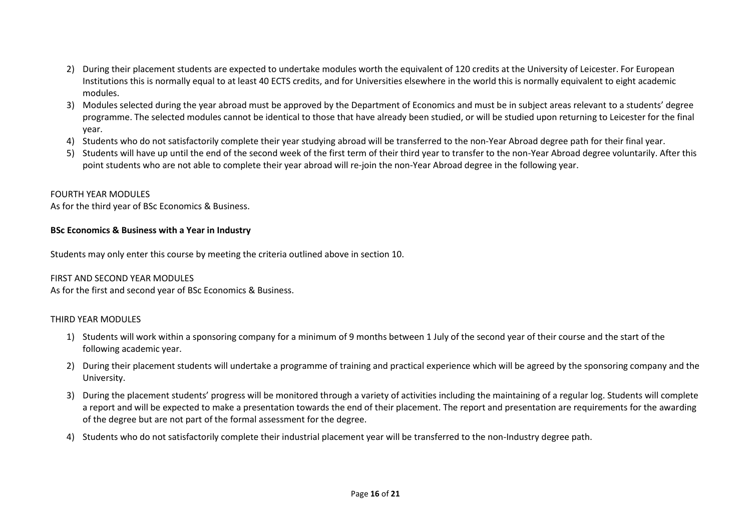- 2) During their placement students are expected to undertake modules worth the equivalent of 120 credits at the University of Leicester. For European Institutions this is normally equal to at least 40 ECTS credits, and for Universities elsewhere in the world this is normally equivalent to eight academic modules.
- 3) Modules selected during the year abroad must be approved by the Department of Economics and must be in subject areas relevant to a students' degree programme. The selected modules cannot be identical to those that have already been studied, or will be studied upon returning to Leicester for the final year.
- 4) Students who do not satisfactorily complete their year studying abroad will be transferred to the non-Year Abroad degree path for their final year.
- 5) Students will have up until the end of the second week of the first term of their third year to transfer to the non-Year Abroad degree voluntarily. After this point students who are not able to complete their year abroad will re-join the non-Year Abroad degree in the following year.

#### FOURTH YEAR MODULES

As for the third year of BSc Economics & Business.

### **BSc Economics & Business with a Year in Industry**

Students may only enter this course by meeting the criteria outlined above in section 10.

#### FIRST AND SECOND YEAR MODULES

As for the first and second year of BSc Economics & Business.

#### THIRD YEAR MODULES

- 1) Students will work within a sponsoring company for a minimum of 9 months between 1 July of the second year of their course and the start of the following academic year.
- 2) During their placement students will undertake a programme of training and practical experience which will be agreed by the sponsoring company and the University.
- 3) During the placement students' progress will be monitored through a variety of activities including the maintaining of a regular log. Students will complete a report and will be expected to make a presentation towards the end of their placement. The report and presentation are requirements for the awarding of the degree but are not part of the formal assessment for the degree.
- 4) Students who do not satisfactorily complete their industrial placement year will be transferred to the non-Industry degree path.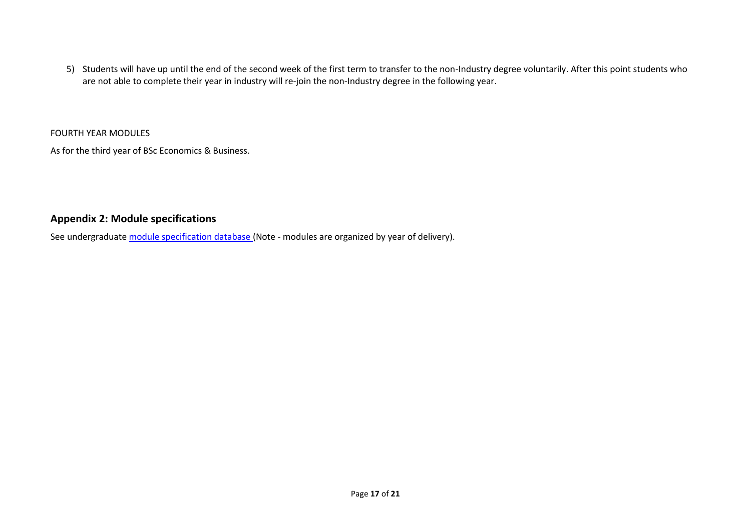5) Students will have up until the end of the second week of the first term to transfer to the non-Industry degree voluntarily. After this point students who are not able to complete their year in industry will re-join the non-Industry degree in the following year.

FOURTH YEAR MODULES

As for the third year of BSc Economics & Business.

## **Appendix 2: Module specifications**

See undergraduat[e module specification database](http://www.le.ac.uk/sas/courses/documentation) (Note - modules are organized by year of delivery).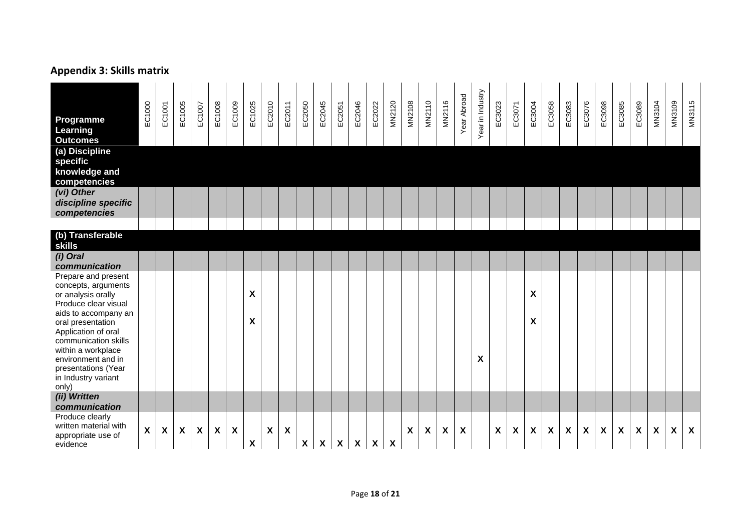# **Appendix 3: Skills matrix**

| <b>Programme</b><br>Learning<br><b>Outcomes</b>                                                                                                                                                                                                                                                                          | EC1000       | EC1001                    | EC1005                    | EC1007                    | EC1008                    | EC1009                    | EC1025 | EC2010                    | EC2011                    | EC2050                    | EC2045                    | EC2051                    | EC2046       | EC2022                    | MN2120 | <b>MN2108</b>             | MN2110             | MN2116 | Year Abroad        | Year in Industry | EC3023                    | EC3071             | EC3004                  | EC3058 | EC3083                    | EC3076                    | EC3098                    | EC3085                    | EC3089                    | MN3104 | <b>MN3109</b>             | MN3115                    |
|--------------------------------------------------------------------------------------------------------------------------------------------------------------------------------------------------------------------------------------------------------------------------------------------------------------------------|--------------|---------------------------|---------------------------|---------------------------|---------------------------|---------------------------|--------|---------------------------|---------------------------|---------------------------|---------------------------|---------------------------|--------------|---------------------------|--------|---------------------------|--------------------|--------|--------------------|------------------|---------------------------|--------------------|-------------------------|--------|---------------------------|---------------------------|---------------------------|---------------------------|---------------------------|--------|---------------------------|---------------------------|
| (a) Discipline<br>specific<br>knowledge and<br>competencies                                                                                                                                                                                                                                                              |              |                           |                           |                           |                           |                           |        |                           |                           |                           |                           |                           |              |                           |        |                           |                    |        |                    |                  |                           |                    |                         |        |                           |                           |                           |                           |                           |        |                           |                           |
| (vi) Other<br>discipline specific<br>competencies                                                                                                                                                                                                                                                                        |              |                           |                           |                           |                           |                           |        |                           |                           |                           |                           |                           |              |                           |        |                           |                    |        |                    |                  |                           |                    |                         |        |                           |                           |                           |                           |                           |        |                           |                           |
| (b) Transferable<br><b>skills</b>                                                                                                                                                                                                                                                                                        |              |                           |                           |                           |                           |                           |        |                           |                           |                           |                           |                           |              |                           |        |                           |                    |        |                    |                  |                           |                    |                         |        |                           |                           |                           |                           |                           |        |                           |                           |
| (i) Oral<br>communication                                                                                                                                                                                                                                                                                                |              |                           |                           |                           |                           |                           |        |                           |                           |                           |                           |                           |              |                           |        |                           |                    |        |                    |                  |                           |                    |                         |        |                           |                           |                           |                           |                           |        |                           |                           |
| Prepare and present<br>concepts, arguments<br>or analysis orally<br>Produce clear visual<br>aids to accompany an<br>oral presentation<br>Application of oral<br>communication skills<br>within a workplace<br>environment and in<br>presentations (Year<br>in Industry variant<br>only)<br>(ii) Written<br>communication |              |                           |                           |                           |                           |                           | X<br>X |                           |                           |                           |                           |                           |              |                           |        |                           |                    |        |                    | X                |                           |                    | $\pmb{\mathsf{X}}$<br>X |        |                           |                           |                           |                           |                           |        |                           |                           |
| Produce clearly<br>written material with<br>appropriate use of<br>evidence                                                                                                                                                                                                                                               | $\mathsf{X}$ | $\boldsymbol{\mathsf{X}}$ | $\boldsymbol{\mathsf{X}}$ | $\boldsymbol{\mathsf{X}}$ | $\boldsymbol{\mathsf{X}}$ | $\boldsymbol{\mathsf{X}}$ | X      | $\boldsymbol{\mathsf{X}}$ | $\boldsymbol{\mathsf{x}}$ | $\boldsymbol{\mathsf{X}}$ | $\boldsymbol{\mathsf{X}}$ | $\boldsymbol{\mathsf{X}}$ | $\mathsf{X}$ | $\boldsymbol{\mathsf{X}}$ | X      | $\boldsymbol{\mathsf{X}}$ | $\pmb{\mathsf{X}}$ | X      | $\pmb{\mathsf{X}}$ |                  | $\boldsymbol{\mathsf{X}}$ | $\pmb{\mathsf{X}}$ | $\pmb{\chi}$            | X      | $\boldsymbol{\mathsf{X}}$ | $\boldsymbol{\mathsf{X}}$ | $\boldsymbol{\mathsf{X}}$ | $\boldsymbol{\mathsf{X}}$ | $\boldsymbol{\mathsf{X}}$ | X      | $\boldsymbol{\mathsf{X}}$ | $\boldsymbol{\mathsf{X}}$ |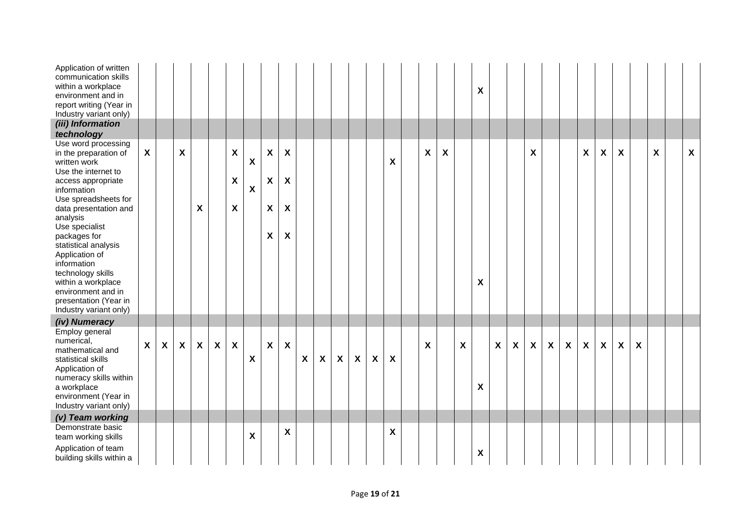| Application of written<br>communication skills<br>within a workplace<br>environment and in<br>report writing (Year in<br>Industry variant only)<br>(iii) Information<br>technology                                                                                                                                                                                                                   |                           |              |                           |              |              |                                                             |                                                        |                                                                          |                                                                                                                  |                  |                           |                           |                           |                           |   |   |                    |   | X                  |              |                  |                           |                           |                           |                           |                    |                           |                           |   |                           |
|------------------------------------------------------------------------------------------------------------------------------------------------------------------------------------------------------------------------------------------------------------------------------------------------------------------------------------------------------------------------------------------------------|---------------------------|--------------|---------------------------|--------------|--------------|-------------------------------------------------------------|--------------------------------------------------------|--------------------------------------------------------------------------|------------------------------------------------------------------------------------------------------------------|------------------|---------------------------|---------------------------|---------------------------|---------------------------|---|---|--------------------|---|--------------------|--------------|------------------|---------------------------|---------------------------|---------------------------|---------------------------|--------------------|---------------------------|---------------------------|---|---------------------------|
| Use word processing<br>in the preparation of<br>written work<br>Use the internet to<br>access appropriate<br>information<br>Use spreadsheets for<br>data presentation and<br>analysis<br>Use specialist<br>packages for<br>statistical analysis<br>Application of<br>information<br>technology skills<br>within a workplace<br>environment and in<br>presentation (Year in<br>Industry variant only) | $\boldsymbol{\mathsf{X}}$ |              | $\pmb{\chi}$              | X            |              | $\boldsymbol{\mathsf{X}}$<br>$\boldsymbol{\mathsf{X}}$<br>X | $\boldsymbol{\mathsf{X}}$<br>$\boldsymbol{\mathsf{X}}$ | $\pmb{\mathsf{X}}$<br>X<br>$\boldsymbol{X}$<br>$\boldsymbol{\mathsf{X}}$ | $\boldsymbol{\mathsf{x}}$<br>$\boldsymbol{\mathsf{X}}$<br>$\boldsymbol{\mathsf{X}}$<br>$\boldsymbol{\mathsf{X}}$ |                  |                           |                           |                           |                           | X | X | $\pmb{\mathsf{X}}$ |   | $\pmb{\mathsf{X}}$ |              |                  | $\boldsymbol{\mathsf{X}}$ |                           |                           | X                         | X                  | $\boldsymbol{\mathsf{X}}$ |                           | X | $\boldsymbol{\mathsf{X}}$ |
| (iv) Numeracy<br>Employ general<br>numerical,<br>mathematical and<br>statistical skills<br>Application of<br>numeracy skills within<br>a workplace<br>environment (Year in<br>Industry variant only)<br>(v) Team working<br>Demonstrate basic                                                                                                                                                        | $\mathsf{X}$              | $\mathsf{X}$ | $\boldsymbol{\mathsf{X}}$ | $\mathsf{X}$ | $\mathsf{X}$ | $\boldsymbol{\mathsf{X}}$                                   | $\boldsymbol{\mathsf{X}}$                              | $\mathsf{X}$                                                             | $\boldsymbol{\mathsf{X}}$                                                                                        | $\boldsymbol{X}$ | $\boldsymbol{\mathsf{X}}$ | $\boldsymbol{\mathsf{X}}$ | $\boldsymbol{\mathsf{X}}$ | $\boldsymbol{\mathsf{X}}$ | X | X |                    | X | X                  | $\mathbf{x}$ | $\boldsymbol{X}$ | $\boldsymbol{\mathsf{X}}$ | $\boldsymbol{\mathsf{X}}$ | $\boldsymbol{\mathsf{X}}$ | $\boldsymbol{\mathsf{X}}$ | $\pmb{\mathsf{X}}$ | $\boldsymbol{\mathsf{X}}$ | $\boldsymbol{\mathsf{X}}$ |   |                           |
| team working skills<br>Application of team<br>building skills within a                                                                                                                                                                                                                                                                                                                               |                           |              |                           |              |              |                                                             | X                                                      |                                                                          | X                                                                                                                |                  |                           |                           |                           |                           | X |   |                    |   | $\pmb{\mathsf{X}}$ |              |                  |                           |                           |                           |                           |                    |                           |                           |   |                           |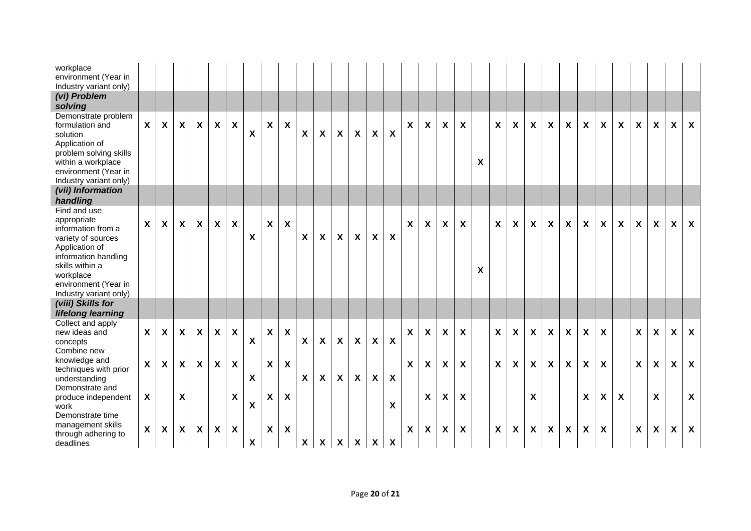| workplace<br>environment (Year in<br>Industry variant only)<br>(vi) Problem                                                                                            |              |                           |                           |                           |                           |                           |                  |              |                           |                           |                           |                           |                           |                           |                           |                           |                           |                           |                           |   |                           |                           |                           |                           |              |                           |                           |                  |                           |   |                           |                           |
|------------------------------------------------------------------------------------------------------------------------------------------------------------------------|--------------|---------------------------|---------------------------|---------------------------|---------------------------|---------------------------|------------------|--------------|---------------------------|---------------------------|---------------------------|---------------------------|---------------------------|---------------------------|---------------------------|---------------------------|---------------------------|---------------------------|---------------------------|---|---------------------------|---------------------------|---------------------------|---------------------------|--------------|---------------------------|---------------------------|------------------|---------------------------|---|---------------------------|---------------------------|
| solving                                                                                                                                                                |              |                           |                           |                           |                           |                           |                  |              |                           |                           |                           |                           |                           |                           |                           |                           |                           |                           |                           |   |                           |                           |                           |                           |              |                           |                           |                  |                           |   |                           |                           |
| Demonstrate problem<br>formulation and<br>solution<br>Application of<br>problem solving skills<br>within a workplace<br>environment (Year in<br>Industry variant only) | $\mathsf{X}$ | $\mathsf{X}$              | $\mathsf{X}$              | $\boldsymbol{X}$          | X                         | $\boldsymbol{\mathsf{X}}$ | X                | $\mathsf{X}$ | X                         | $\boldsymbol{\mathsf{X}}$ | $\boldsymbol{\mathsf{X}}$ | $\boldsymbol{X}$          | $\boldsymbol{\mathsf{X}}$ | $\boldsymbol{\mathsf{X}}$ | $\boldsymbol{\mathsf{X}}$ | $\boldsymbol{X}$          | $\boldsymbol{\mathsf{X}}$ | $\boldsymbol{\mathsf{X}}$ | X                         | X | $\boldsymbol{\mathsf{X}}$ | X                         | $\boldsymbol{\mathsf{X}}$ | X                         | X            | X                         | X                         | X                | $\boldsymbol{\mathsf{X}}$ | X | $\boldsymbol{\mathsf{X}}$ | $\boldsymbol{\mathsf{X}}$ |
| (vii) Information<br>handling                                                                                                                                          |              |                           |                           |                           |                           |                           |                  |              |                           |                           |                           |                           |                           |                           |                           |                           |                           |                           |                           |   |                           |                           |                           |                           |              |                           |                           |                  |                           |   |                           |                           |
| Find and use<br>appropriate<br>information from a<br>variety of sources<br>Application of<br>information handling                                                      | $\mathsf{X}$ | $\mathsf{X}$              | $\mathsf{X}$              | $\boldsymbol{\mathsf{X}}$ | $\boldsymbol{\mathsf{X}}$ | $\boldsymbol{\mathsf{X}}$ | X                | $\mathsf{X}$ | $\boldsymbol{\mathsf{X}}$ | $\boldsymbol{\mathsf{X}}$ | $\boldsymbol{\mathsf{X}}$ | $\boldsymbol{\mathsf{X}}$ | $\boldsymbol{\mathsf{X}}$ | $\boldsymbol{\mathsf{X}}$ | $\boldsymbol{\mathsf{X}}$ | $\boldsymbol{\mathsf{X}}$ | $\boldsymbol{\mathsf{X}}$ | $\boldsymbol{\mathsf{X}}$ | $\pmb{\mathsf{X}}$        |   | $\boldsymbol{\mathsf{X}}$ | $\boldsymbol{\mathsf{X}}$ | $\boldsymbol{\mathsf{X}}$ | $\boldsymbol{\mathsf{X}}$ | $\pmb{\chi}$ | $\boldsymbol{\mathsf{X}}$ | $\boldsymbol{\mathsf{X}}$ | X                | X                         | X | X                         | X                         |
| skills within a<br>workplace<br>environment (Year in<br>Industry variant only)                                                                                         |              |                           |                           |                           |                           |                           |                  |              |                           |                           |                           |                           |                           |                           |                           |                           |                           |                           |                           | X |                           |                           |                           |                           |              |                           |                           |                  |                           |   |                           |                           |
| (viii) Skills for<br>lifelong learning                                                                                                                                 |              |                           |                           |                           |                           |                           |                  |              |                           |                           |                           |                           |                           |                           |                           |                           |                           |                           |                           |   |                           |                           |                           |                           |              |                           |                           |                  |                           |   |                           |                           |
| Collect and apply<br>new ideas and<br>concepts<br>Combine new                                                                                                          | $\mathsf{X}$ | $\boldsymbol{\mathsf{X}}$ | $\mathsf{X}$              | $\boldsymbol{\mathsf{X}}$ | $\boldsymbol{X}$          | $\boldsymbol{X}$          | X                | X            | X                         | $\boldsymbol{\mathsf{X}}$ | $\boldsymbol{X}$          | $\boldsymbol{\mathsf{X}}$ | $\boldsymbol{\mathsf{X}}$ | $\boldsymbol{\mathsf{X}}$ | $\boldsymbol{\mathsf{X}}$ | $\boldsymbol{X}$          | $\boldsymbol{\mathsf{X}}$ | $\boldsymbol{X}$          | X                         |   | $\boldsymbol{\mathsf{X}}$ | $\boldsymbol{\mathsf{X}}$ | X                         | X                         | X            | Χ                         | $\boldsymbol{X}$          |                  | $\boldsymbol{X}$          | X | $\boldsymbol{\mathsf{X}}$ | $\boldsymbol{\mathsf{X}}$ |
| knowledge and<br>techniques with prior<br>understanding                                                                                                                | $\mathsf{X}$ | $\mathsf{X}$              | $\mathsf{X}$              | $\boldsymbol{\mathsf{X}}$ | X                         | $\boldsymbol{\mathsf{X}}$ | $\boldsymbol{X}$ | $\mathsf{X}$ | $\boldsymbol{\mathsf{X}}$ | $\boldsymbol{\mathsf{X}}$ | $\boldsymbol{X}$          | $\boldsymbol{\mathsf{X}}$ | $\boldsymbol{\mathsf{X}}$ | $\boldsymbol{\mathsf{X}}$ | $\boldsymbol{\mathsf{X}}$ | $\boldsymbol{\mathsf{X}}$ | $\boldsymbol{\mathsf{X}}$ | $\boldsymbol{\mathsf{x}}$ | $\boldsymbol{\mathsf{X}}$ |   | $\mathsf{X}$              | $\boldsymbol{X}$          | $\boldsymbol{\mathsf{X}}$ | $\boldsymbol{\mathsf{X}}$ | X            | X                         | $\boldsymbol{X}$          |                  | $\boldsymbol{\mathsf{X}}$ | X | X                         | $\boldsymbol{\mathsf{X}}$ |
| Demonstrate and<br>produce independent<br>work<br>Demonstrate time                                                                                                     | X            |                           | $\boldsymbol{\mathsf{X}}$ |                           |                           | $\boldsymbol{X}$          | X                | X            | X                         |                           |                           |                           |                           |                           | X                         |                           | X                         | $\boldsymbol{X}$          | X                         |   |                           |                           | X                         |                           |              | Χ                         | X                         | $\boldsymbol{X}$ |                           | X |                           | $\boldsymbol{X}$          |
| management skills<br>through adhering to<br>deadlines                                                                                                                  | $\mathsf{X}$ | $\boldsymbol{X}$          | $\mathsf{x}$              | $\boldsymbol{\mathsf{X}}$ | $\boldsymbol{\mathsf{X}}$ | $\boldsymbol{\mathsf{X}}$ | X                | X            | X                         | $\boldsymbol{\mathsf{X}}$ | $\pmb{\mathsf{X}}$        | $\boldsymbol{\mathsf{X}}$ | $\boldsymbol{\mathsf{X}}$ | $\boldsymbol{\mathsf{X}}$ | $\boldsymbol{\mathsf{X}}$ | $\boldsymbol{\mathsf{X}}$ | $\boldsymbol{\mathsf{X}}$ | X                         | X                         |   | $\boldsymbol{\mathsf{X}}$ | $\boldsymbol{\mathsf{X}}$ | X                         | X                         | X            | X                         | $\boldsymbol{X}$          |                  | X                         | X | X                         | $\boldsymbol{\mathsf{X}}$ |